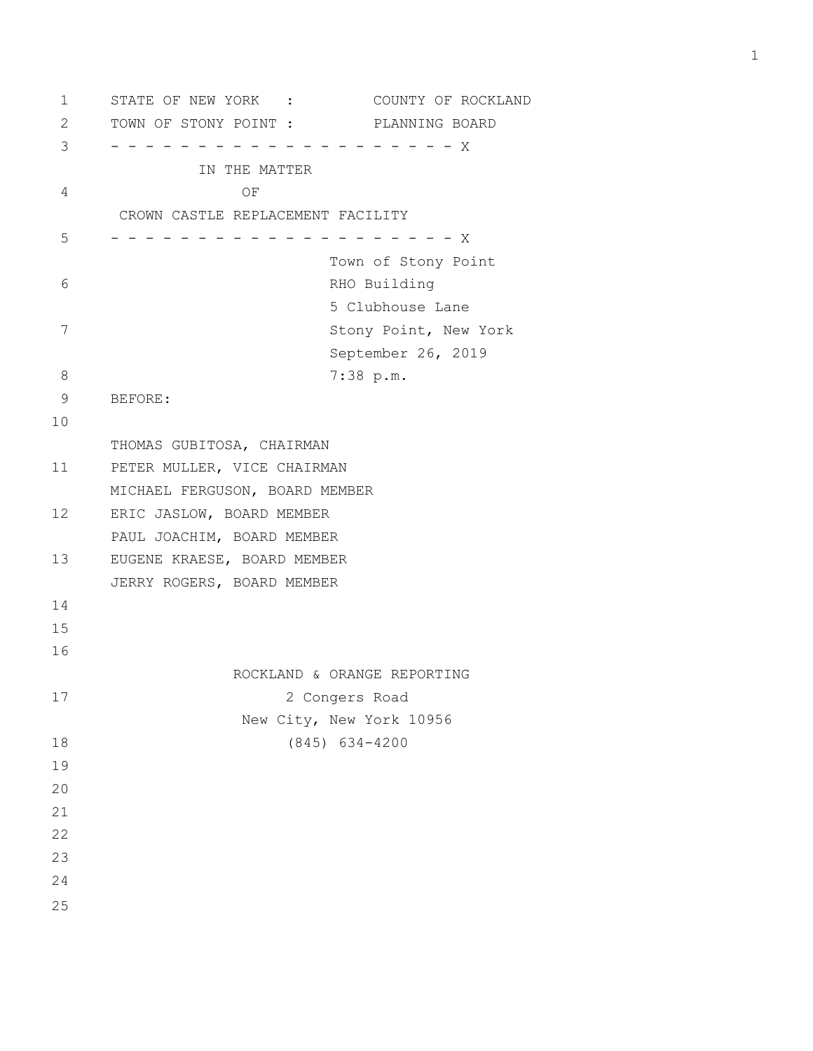1 STATE OF NEW YORK : COUNTY OF ROCKLAND 2 TOWN OF STONY POINT : PLANNING BOARD 3 - - - - - - - - - - - - - - - - - - - - X IN THE MATTER 4 OF CROWN CASTLE REPLACEMENT FACILITY 5 - - - - - - - - - - - - - - - - - - - - X Town of Stony Point 6 RHO Building 5 Clubhouse Lane 7 Stony Point, New York September 26, 2019 8 7:38 p.m. 9 BEFORE: 10 THOMAS GUBITOSA, CHAIRMAN 11 PETER MULLER, VICE CHAIRMAN MICHAEL FERGUSON, BOARD MEMBER 12 ERIC JASLOW, BOARD MEMBER PAUL JOACHIM, BOARD MEMBER 13 EUGENE KRAESE, BOARD MEMBER JERRY ROGERS, BOARD MEMBER 14 15 16 ROCKLAND & ORANGE REPORTING 17 2 Congers Road New City, New York 10956 18 (845) 634-4200 19 20 21 22 23 24 25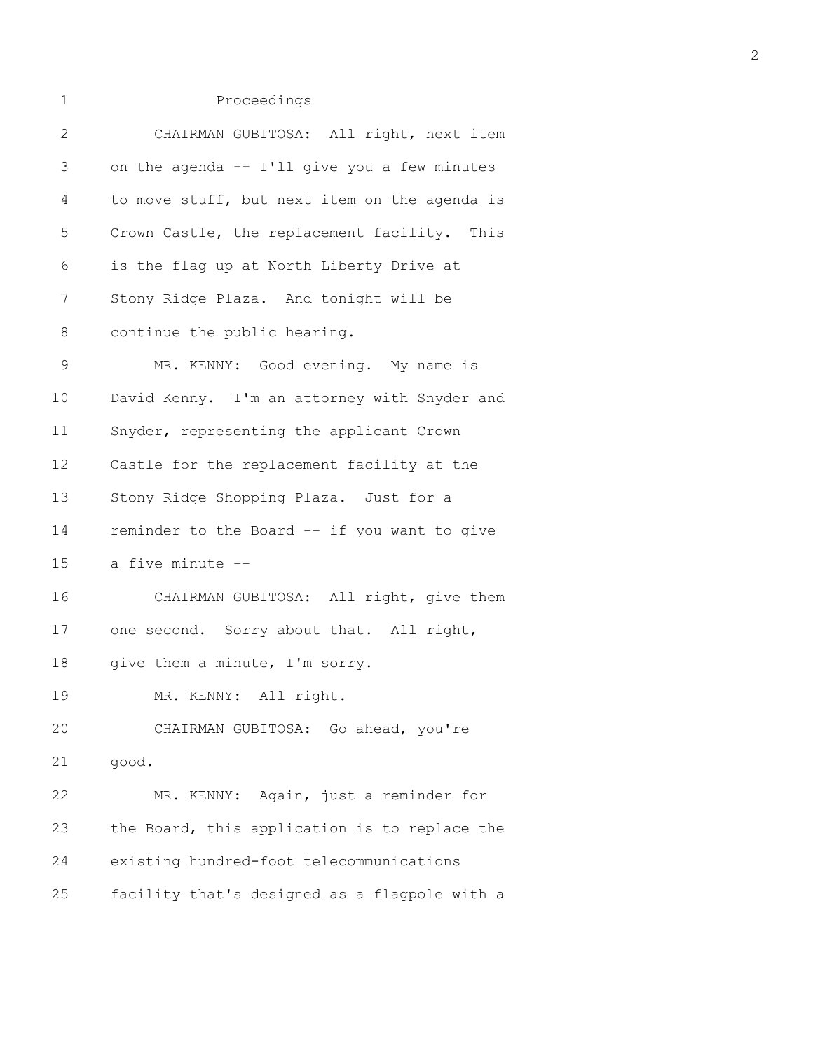| 2           | CHAIRMAN GUBITOSA: All right, next item       |
|-------------|-----------------------------------------------|
| 3           | on the agenda -- I'll give you a few minutes  |
| 4           | to move stuff, but next item on the agenda is |
| 5           | Crown Castle, the replacement facility. This  |
| 6           | is the flag up at North Liberty Drive at      |
| 7           | Stony Ridge Plaza. And tonight will be        |
| 8           | continue the public hearing.                  |
| $\mathsf 9$ | MR. KENNY: Good evening. My name is           |
| 10          | David Kenny. I'm an attorney with Snyder and  |
| 11          | Snyder, representing the applicant Crown      |
| 12          | Castle for the replacement facility at the    |
| 13          | Stony Ridge Shopping Plaza. Just for a        |
| 14          | reminder to the Board -- if you want to give  |
| 15          | a five minute --                              |
| 16          | CHAIRMAN GUBITOSA: All right, give them       |
| 17          | one second. Sorry about that. All right,      |
| 18          | give them a minute, I'm sorry.                |
| 19          | MR. KENNY: All right.                         |
| 20          | CHAIRMAN GUBITOSA: Go ahead, you're           |
| 21          | good.                                         |
| 22          | MR. KENNY: Again, just a reminder for         |
| 23          | the Board, this application is to replace the |
| 24          | existing hundred-foot telecommunications      |
| 25          | facility that's designed as a flagpole with a |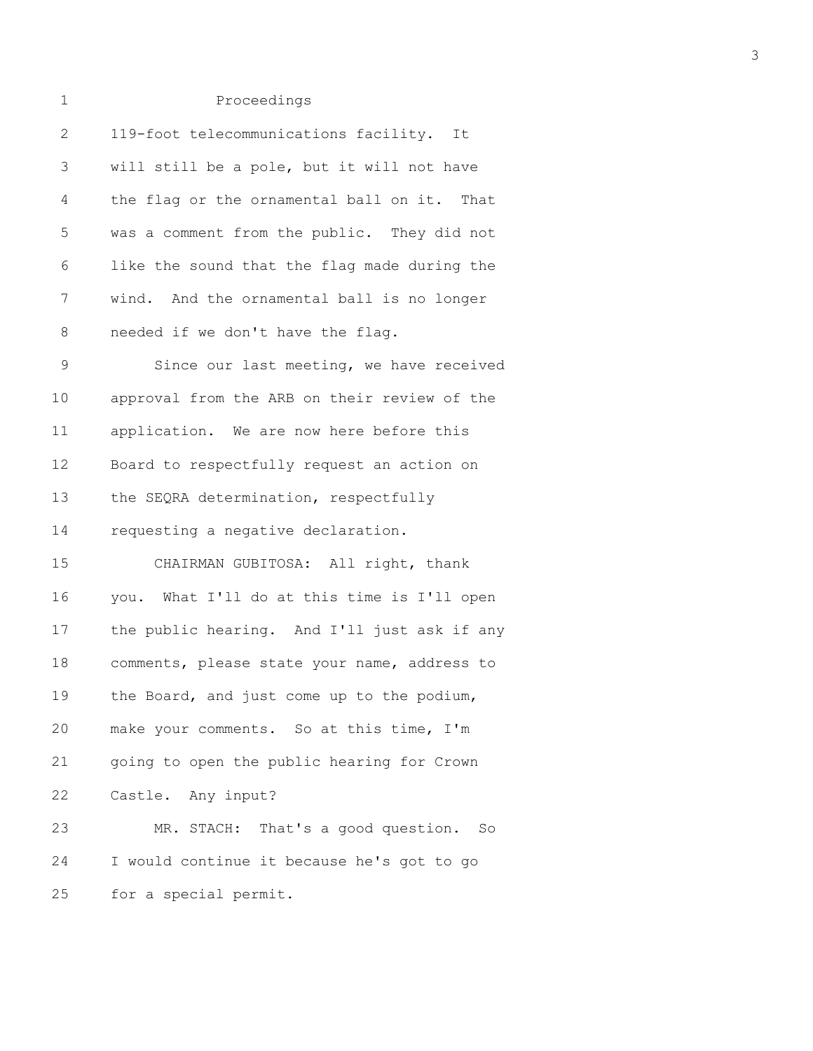| $\overline{2}$ | 119-foot telecommunications facility. It     |
|----------------|----------------------------------------------|
| 3              | will still be a pole, but it will not have   |
| 4              | the flag or the ornamental ball on it. That  |
| 5              | was a comment from the public. They did not  |
| 6              | like the sound that the flag made during the |
| 7              | wind. And the ornamental ball is no longer   |
| 8              | needed if we don't have the flag.            |
| 9              | Since our last meeting, we have received     |
| 10             | approval from the ARB on their review of the |
| 11             | application. We are now here before this     |
| 12             | Board to respectfully request an action on   |
| 13             | the SEQRA determination, respectfully        |
| 14             | requesting a negative declaration.           |
| 15             | CHAIRMAN GUBITOSA: All right, thank          |
| 16             | you. What I'll do at this time is I'll open  |
| 17             | the public hearing. And I'll just ask if any |
| 18             | comments, please state your name, address to |
| 19             | the Board, and just come up to the podium,   |
| 20             | make your comments. So at this time, I'm     |
| 21             | going to open the public hearing for Crown   |
| 22             | Castle. Any input?                           |
| 23             | MR. STACH: That's a good question.<br>So     |
| 24             | I would continue it because he's got to go   |
| 25             | for a special permit.                        |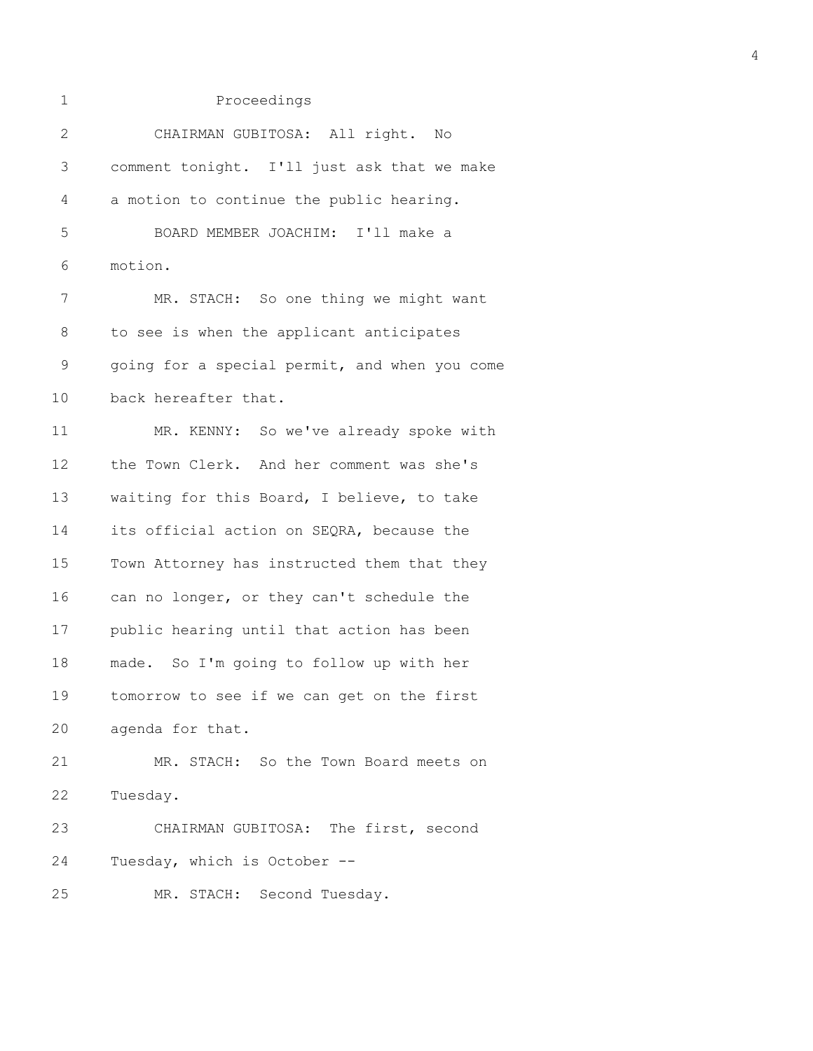| $\mathbf{2}$ | CHAIRMAN GUBITOSA: All right. No              |
|--------------|-----------------------------------------------|
| 3            | comment tonight. I'll just ask that we make   |
| 4            | a motion to continue the public hearing.      |
| 5            | BOARD MEMBER JOACHIM: I'll make a             |
| 6            | motion.                                       |
| 7            | MR. STACH: So one thing we might want         |
| 8            | to see is when the applicant anticipates      |
| 9            | going for a special permit, and when you come |
| 10           | back hereafter that.                          |
| 11           | MR. KENNY: So we've already spoke with        |
| 12           | the Town Clerk. And her comment was she's     |
| 13           | waiting for this Board, I believe, to take    |
| 14           | its official action on SEQRA, because the     |
| 15           | Town Attorney has instructed them that they   |
| 16           | can no longer, or they can't schedule the     |
| 17           | public hearing until that action has been     |
| 18           | made. So I'm going to follow up with her      |
| 19           | tomorrow to see if we can get on the first    |
| 20           | agenda for that.                              |
| 21           | MR. STACH: So the Town Board meets on         |
| 22           | Tuesday.                                      |
| 23           | CHAIRMAN GUBITOSA: The first, second          |
| 24           | Tuesday, which is October --                  |
| 25           | MR. STACH: Second Tuesday.                    |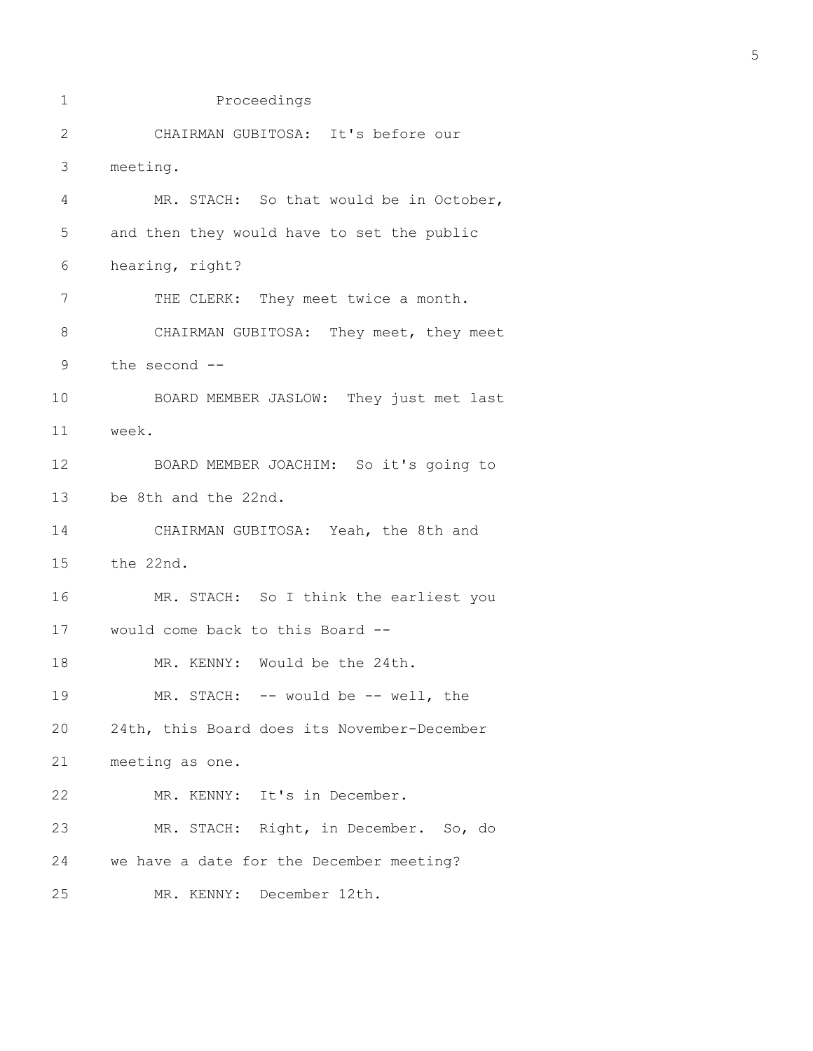```
1 Proceedings
2 CHAIRMAN GUBITOSA: It's before our
3 meeting.
4 MR. STACH: So that would be in October,
5 and then they would have to set the public
6 hearing, right?
7 THE CLERK: They meet twice a month.
8 CHAIRMAN GUBITOSA: They meet, they meet
9 the second --
10 BOARD MEMBER JASLOW: They just met last
11 week.
12 BOARD MEMBER JOACHIM: So it's going to
13 be 8th and the 22nd.
14 CHAIRMAN GUBITOSA: Yeah, the 8th and
15 the 22nd.
16 MR. STACH: So I think the earliest you
17 would come back to this Board --
18 MR. KENNY: Would be the 24th.
19 MR. STACH: -- would be -- well, the
20 24th, this Board does its November-December
21 meeting as one.
22 MR. KENNY: It's in December.
23 MR. STACH: Right, in December. So, do
24 we have a date for the December meeting?
25 MR. KENNY: December 12th.
```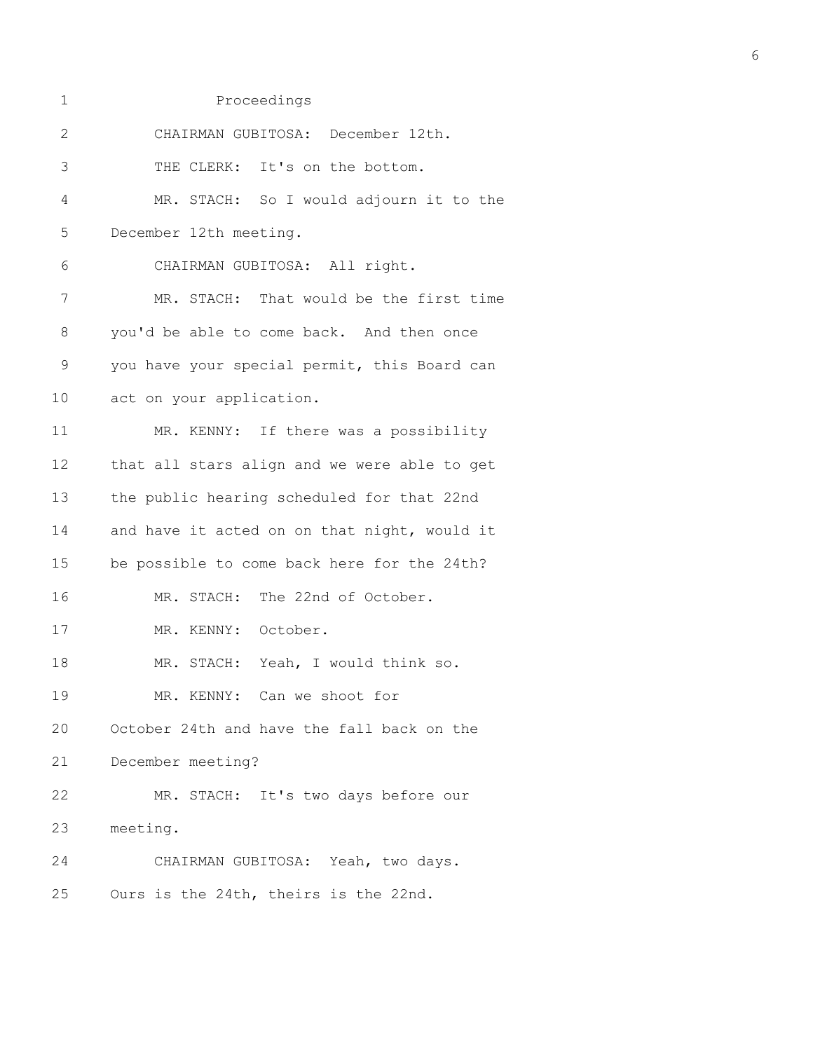| 2           | CHAIRMAN GUBITOSA: December 12th.            |
|-------------|----------------------------------------------|
| 3           | THE CLERK: It's on the bottom.               |
| 4           | MR. STACH: So I would adjourn it to the      |
| 5           | December 12th meeting.                       |
| 6           | CHAIRMAN GUBITOSA: All right.                |
| 7           | MR. STACH: That would be the first time      |
| 8           | you'd be able to come back. And then once    |
| $\mathsf 9$ | you have your special permit, this Board can |
| 10          | act on your application.                     |
| 11          | MR. KENNY: If there was a possibility        |
| 12          | that all stars align and we were able to get |
| 13          | the public hearing scheduled for that 22nd   |
| 14          | and have it acted on on that night, would it |
| 15          | be possible to come back here for the 24th?  |
| 16          | MR. STACH: The 22nd of October.              |
| 17          | MR. KENNY: October.                          |
| 18          | MR. STACH: Yeah, I would think so.           |
| 19          | Can we shoot for<br>MR. KENNY:               |
| 20          | October 24th and have the fall back on the   |
| 21          | December meeting?                            |
| 22          | MR. STACH: It's two days before our          |
| 23          | meeting.                                     |
| 24          | CHAIRMAN GUBITOSA: Yeah, two days.           |
| 25          | Ours is the 24th, theirs is the 22nd.        |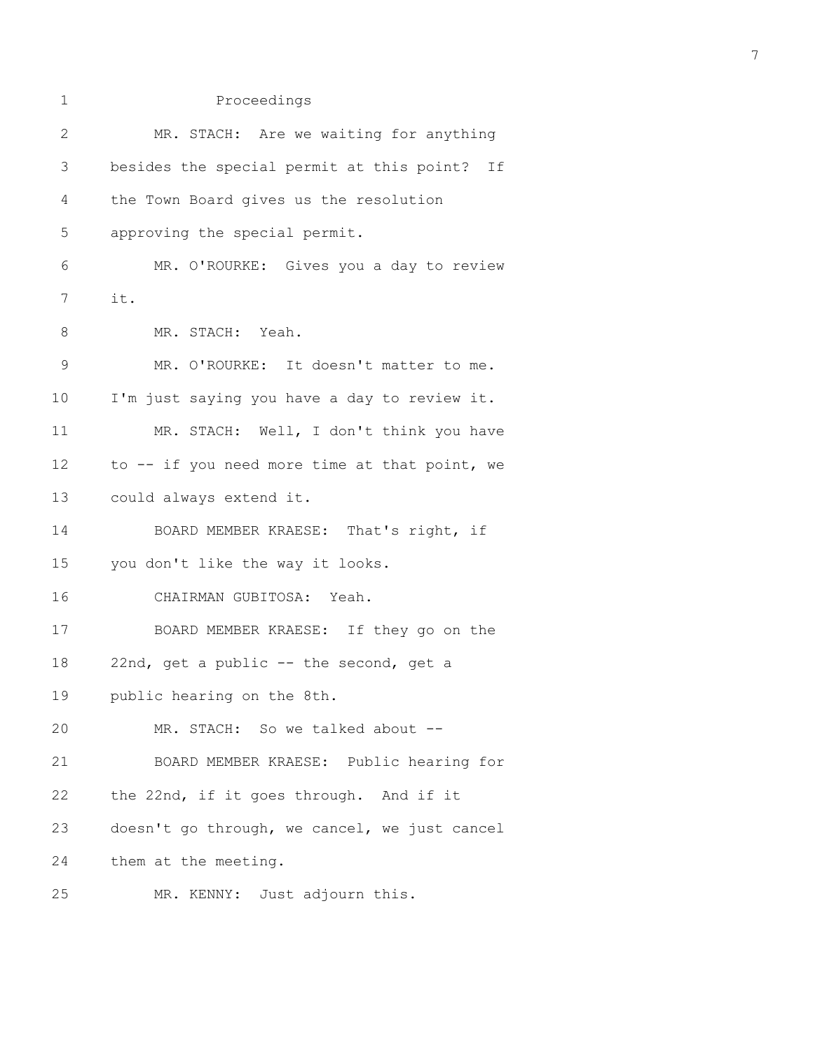| $\mathbf 1$    | Proceedings                                   |
|----------------|-----------------------------------------------|
| $\overline{2}$ | MR. STACH: Are we waiting for anything        |
| 3              | besides the special permit at this point? If  |
| 4              | the Town Board gives us the resolution        |
| 5              | approving the special permit.                 |
| 6              | MR. O'ROURKE: Gives you a day to review       |
| 7              | it.                                           |
| 8              | MR. STACH: Yeah.                              |
| $\mathsf 9$    | MR. O'ROURKE: It doesn't matter to me.        |
| 10             | I'm just saying you have a day to review it.  |
| 11             | MR. STACH: Well, I don't think you have       |
| 12             | to -- if you need more time at that point, we |
| 13             | could always extend it.                       |
| 14             | BOARD MEMBER KRAESE: That's right, if         |
| 15             | you don't like the way it looks.              |
| 16             | CHAIRMAN GUBITOSA: Yeah.                      |
| 17             | BOARD MEMBER KRAESE: If they go on the        |
| 18             | 22nd, get a public -- the second, get a       |
| 19             | public hearing on the 8th.                    |
| 20             | MR. STACH: So we talked about --              |
| 21             | BOARD MEMBER KRAESE: Public hearing for       |
| 22             | the 22nd, if it goes through. And if it       |
| 23             | doesn't go through, we cancel, we just cancel |
| 24             | them at the meeting.                          |
| 25             | MR. KENNY: Just adjourn this.                 |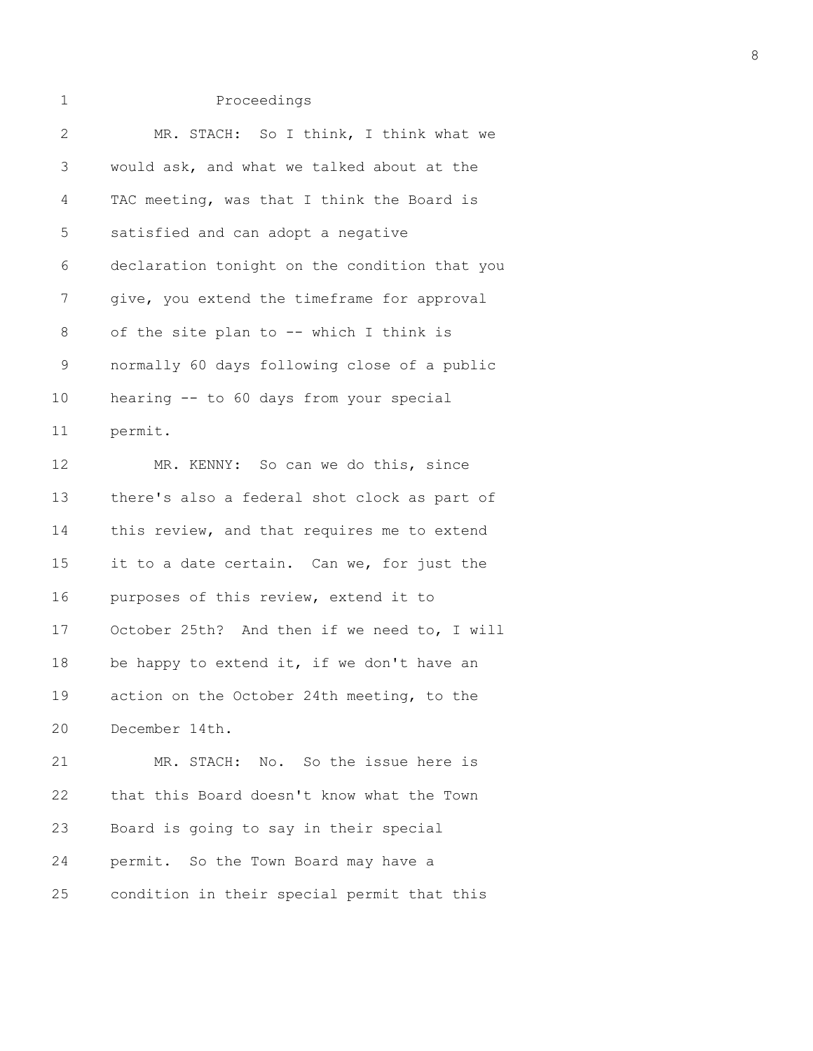| 1            | Proceedings                                   |
|--------------|-----------------------------------------------|
| $\mathbf{2}$ | MR. STACH: So I think, I think what we        |
| 3            | would ask, and what we talked about at the    |
| 4            | TAC meeting, was that I think the Board is    |
| 5            | satisfied and can adopt a negative            |
| 6            | declaration tonight on the condition that you |
| 7            | give, you extend the timeframe for approval   |
| 8            | of the site plan to -- which I think is       |
| $\mathsf 9$  | normally 60 days following close of a public  |
| 10           | hearing -- to 60 days from your special       |
| 11           | permit.                                       |
| 12           | MR. KENNY: So can we do this, since           |
| 13           | there's also a federal shot clock as part of  |
| 14           | this review, and that requires me to extend   |
| 15           | it to a date certain. Can we, for just the    |
| 16           | purposes of this review, extend it to         |
| 17           | October 25th? And then if we need to, I will  |
| 18           | be happy to extend it, if we don't have an    |
| 19           | action on the October 24th meeting, to the    |
| 20           | December 14th.                                |
| 21           | MR. STACH: No. So the issue here is           |
| 22           | that this Board doesn't know what the Town    |
| 23           | Board is going to say in their special        |
| 24           | permit. So the Town Board may have a          |

25 condition in their special permit that this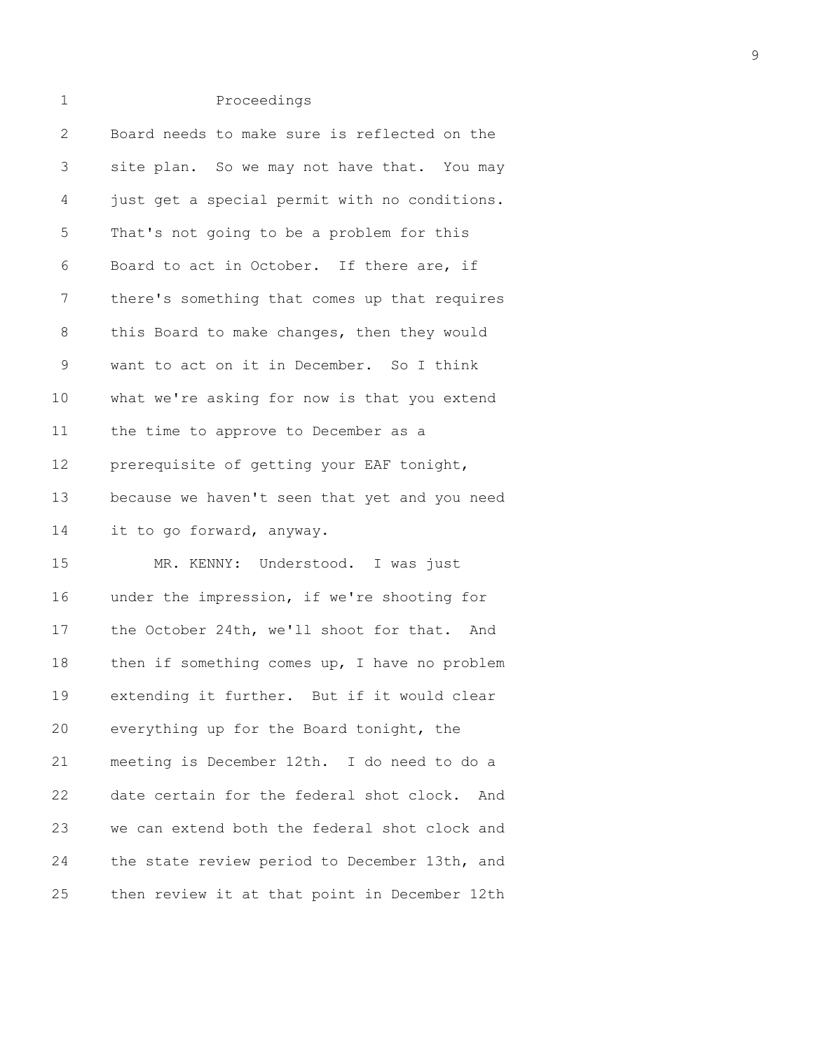## 2 Board needs to make sure is reflected on the 3 site plan. So we may not have that. You may 4 just get a special permit with no conditions. 5 That's not going to be a problem for this 6 Board to act in October. If there are, if 7 there's something that comes up that requires 8 this Board to make changes, then they would 9 want to act on it in December. So I think 10 what we're asking for now is that you extend 11 the time to approve to December as a 12 prerequisite of getting your EAF tonight, 13 because we haven't seen that yet and you need 14 it to go forward, anyway. 15 MR. KENNY: Understood. I was just 16 under the impression, if we're shooting for 17 the October 24th, we'll shoot for that. And 18 then if something comes up, I have no problem 19 extending it further. But if it would clear

1 Proceedings

20 everything up for the Board tonight, the 21 meeting is December 12th. I do need to do a 22 date certain for the federal shot clock. And 23 we can extend both the federal shot clock and 24 the state review period to December 13th, and 25 then review it at that point in December 12th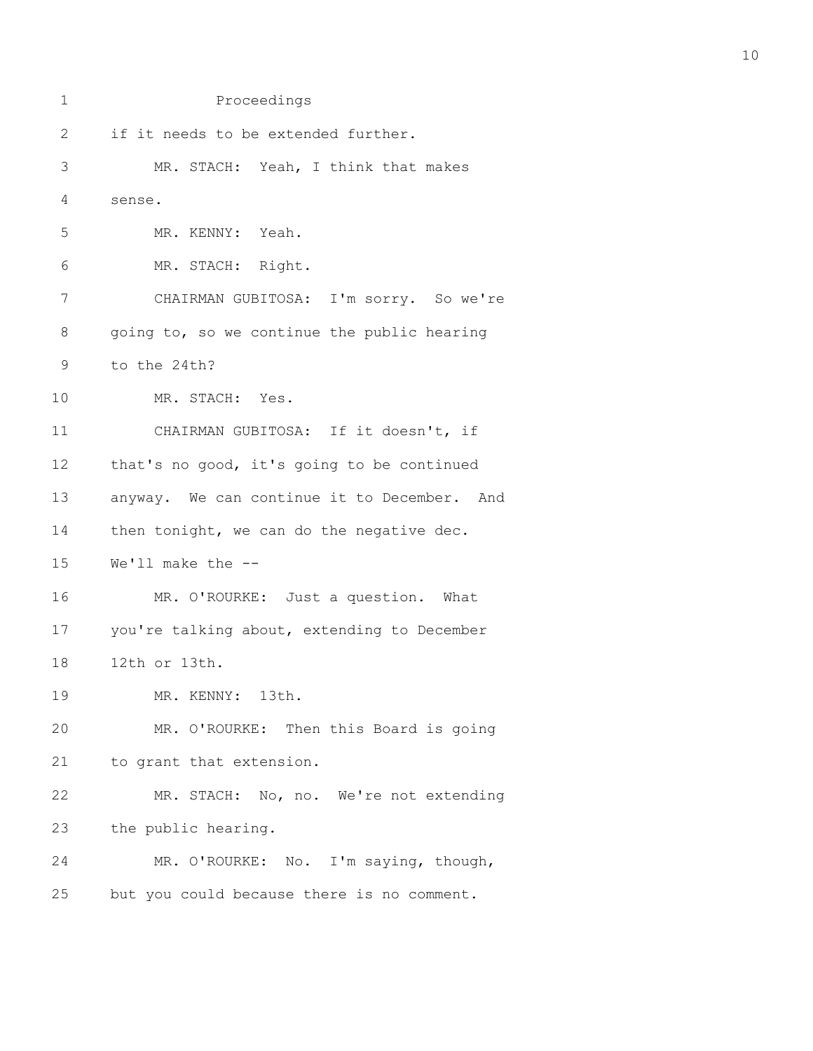| 1            | Proceedings                                 |
|--------------|---------------------------------------------|
| $\mathbf{2}$ | if it needs to be extended further.         |
| 3            | MR. STACH: Yeah, I think that makes         |
| 4            | sense.                                      |
| 5            | MR. KENNY: Yeah.                            |
| 6            | MR. STACH: Right.                           |
| 7            | CHAIRMAN GUBITOSA: I'm sorry. So we're      |
| 8            | going to, so we continue the public hearing |
| 9            | to the 24th?                                |
| 10           | MR. STACH: Yes.                             |
| 11           | CHAIRMAN GUBITOSA: If it doesn't, if        |
| 12           | that's no good, it's going to be continued  |
| 13           | anyway. We can continue it to December. And |
| 14           | then tonight, we can do the negative dec.   |
| 15           | We'll make the --                           |
| 16           | MR. O'ROURKE: Just a question. What         |
| 17           | you're talking about, extending to December |
| 18           | 12th or 13th.                               |
| 19           | MR. KENNY: 13th.                            |
| 20           | MR. O'ROURKE: Then this Board is going      |
| 21           | to grant that extension.                    |
| 22           | MR. STACH: No, no. We're not extending      |
| 23           | the public hearing.                         |
| 24           | MR. O'ROURKE: No. I'm saying, though,       |
| 25           | but you could because there is no comment.  |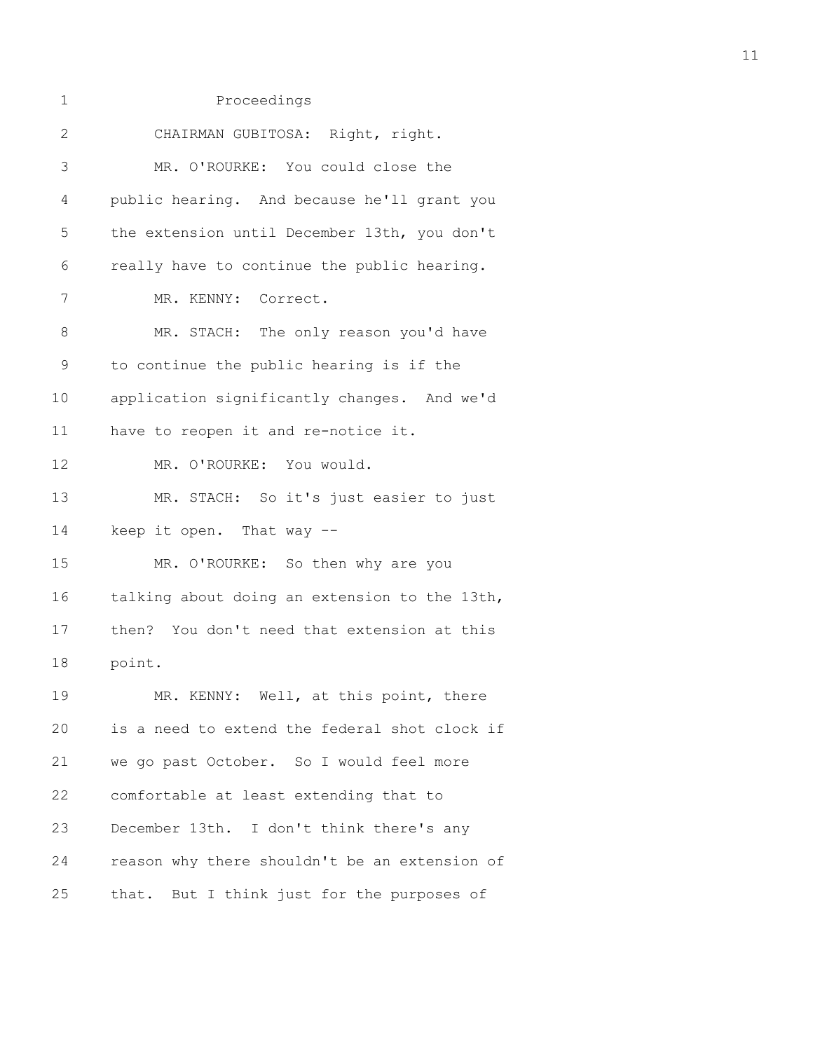| 1  | Proceedings                                   |
|----|-----------------------------------------------|
| 2  | CHAIRMAN GUBITOSA: Right, right.              |
| 3  | MR. O'ROURKE: You could close the             |
| 4  | public hearing. And because he'll grant you   |
| 5  | the extension until December 13th, you don't  |
| 6  | really have to continue the public hearing.   |
| 7  | MR. KENNY: Correct.                           |
| 8  | MR. STACH: The only reason you'd have         |
| 9  | to continue the public hearing is if the      |
| 10 | application significantly changes. And we'd   |
| 11 | have to reopen it and re-notice it.           |
| 12 | MR. O'ROURKE: You would.                      |
| 13 | MR. STACH: So it's just easier to just        |
| 14 | keep it open. That way --                     |
| 15 | MR. O'ROURKE: So then why are you             |
| 16 | talking about doing an extension to the 13th, |
| 17 | then? You don't need that extension at this   |
| 18 | point.                                        |
| 19 | MR. KENNY: Well, at this point, there         |
| 20 | is a need to extend the federal shot clock if |
| 21 | we go past October. So I would feel more      |
| 22 | comfortable at least extending that to        |
| 23 | December 13th. I don't think there's any      |
| 24 | reason why there shouldn't be an extension of |
| 25 | that. But I think just for the purposes of    |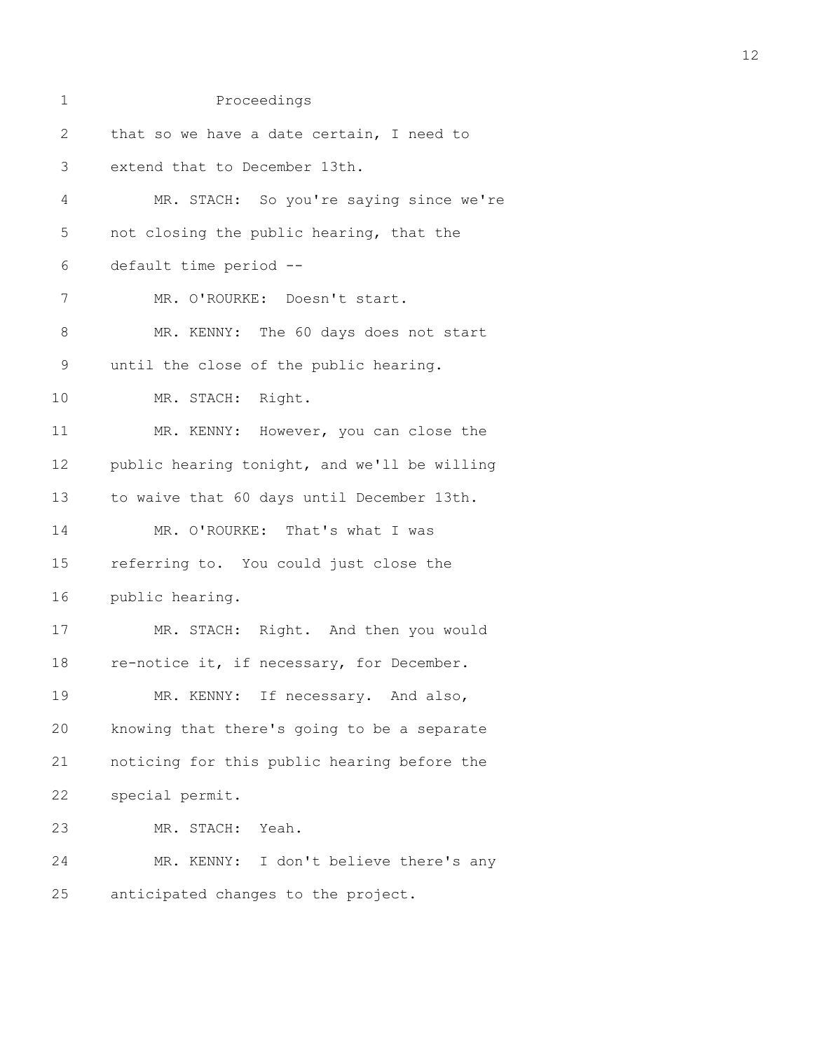| $\mathbf 1$  | Proceedings                                  |
|--------------|----------------------------------------------|
| $\mathbf{2}$ | that so we have a date certain, I need to    |
| 3            | extend that to December 13th.                |
| 4            | MR. STACH: So you're saying since we're      |
| 5            | not closing the public hearing, that the     |
| 6            | default time period --                       |
| 7            | MR. O'ROURKE: Doesn't start.                 |
| $8\,$        | MR. KENNY: The 60 days does not start        |
| $\mathsf 9$  | until the close of the public hearing.       |
| 10           | MR. STACH: Right.                            |
| 11           | MR. KENNY: However, you can close the        |
| 12           | public hearing tonight, and we'll be willing |
| 13           | to waive that 60 days until December 13th.   |
| 14           | MR. O'ROURKE: That's what I was              |
| 15           | referring to. You could just close the       |
| 16           | public hearing.                              |
| 17           | MR. STACH: Right. And then you would         |
| 18           | re-notice it, if necessary, for December.    |
| 19           | If necessary. And also,<br>MR. KENNY:        |
| 20           | knowing that there's going to be a separate  |
| 21           | noticing for this public hearing before the  |
| 22           | special permit.                              |
| 23           | MR. STACH: Yeah.                             |
| 24           | I don't believe there's any<br>MR. KENNY:    |
| 25           | anticipated changes to the project.          |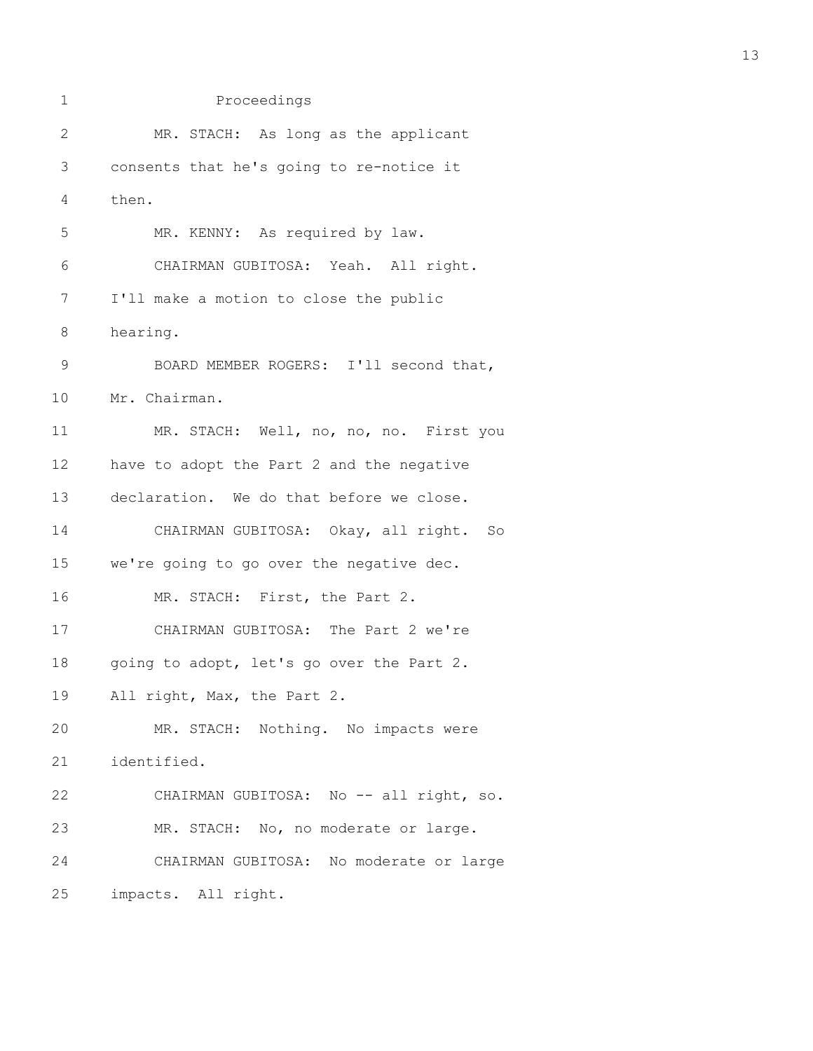1 Proceedings 2 MR. STACH: As long as the applicant 3 consents that he's going to re-notice it 4 then. 5 MR. KENNY: As required by law. 6 CHAIRMAN GUBITOSA: Yeah. All right. 7 I'll make a motion to close the public 8 hearing. 9 BOARD MEMBER ROGERS: I'll second that, 10 Mr. Chairman. 11 MR. STACH: Well, no, no, no. First you 12 have to adopt the Part 2 and the negative 13 declaration. We do that before we close. 14 CHAIRMAN GUBITOSA: Okay, all right. So 15 we're going to go over the negative dec. 16 MR. STACH: First, the Part 2. 17 CHAIRMAN GUBITOSA: The Part 2 we're 18 going to adopt, let's go over the Part 2. 19 All right, Max, the Part 2. 20 MR. STACH: Nothing. No impacts were 21 identified. 22 CHAIRMAN GUBITOSA: No -- all right, so. 23 MR. STACH: No, no moderate or large. 24 CHAIRMAN GUBITOSA: No moderate or large 25 impacts. All right.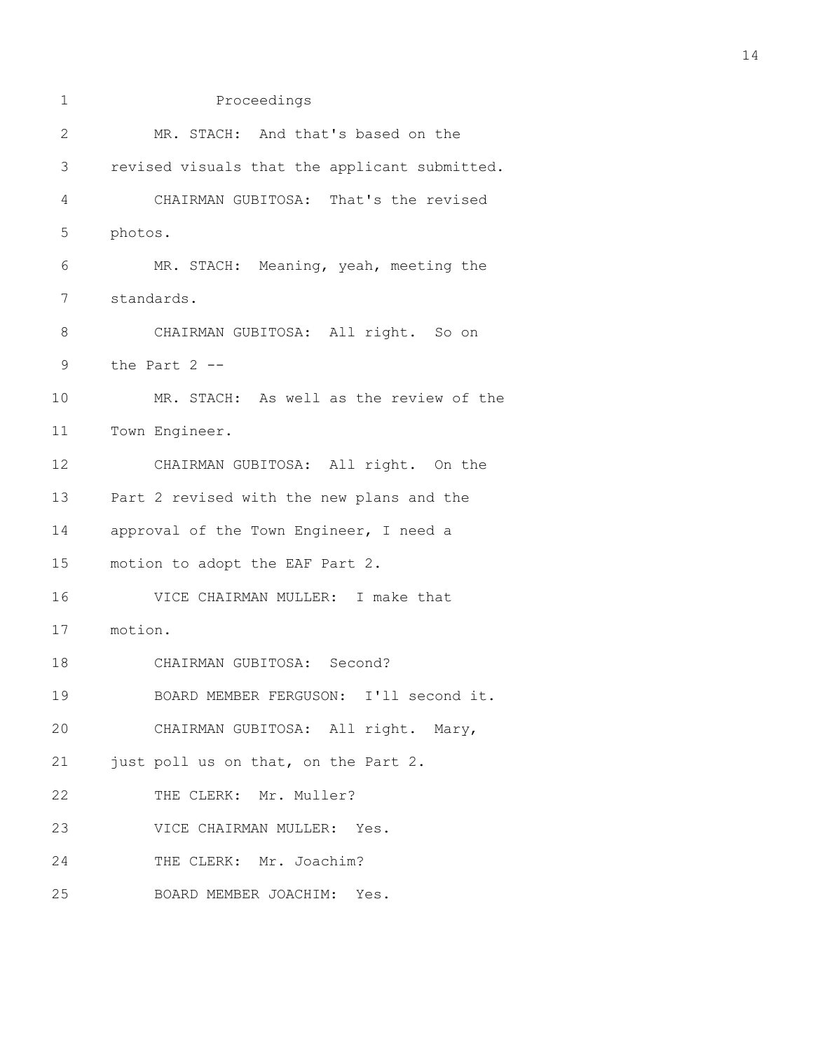1 Proceedings 2 MR. STACH: And that's based on the 3 revised visuals that the applicant submitted. 4 CHAIRMAN GUBITOSA: That's the revised 5 photos. 6 MR. STACH: Meaning, yeah, meeting the 7 standards. 8 CHAIRMAN GUBITOSA: All right. So on 9 the Part 2 -- 10 MR. STACH: As well as the review of the 11 Town Engineer. 12 CHAIRMAN GUBITOSA: All right. On the 13 Part 2 revised with the new plans and the 14 approval of the Town Engineer, I need a 15 motion to adopt the EAF Part 2. 16 VICE CHAIRMAN MULLER: I make that 17 motion. 18 CHAIRMAN GUBITOSA: Second? 19 BOARD MEMBER FERGUSON: I'll second it. 20 CHAIRMAN GUBITOSA: All right. Mary, 21 just poll us on that, on the Part 2. 22 THE CLERK: Mr. Muller? 23 VICE CHAIRMAN MULLER: Yes. 24 THE CLERK: Mr. Joachim? 25 BOARD MEMBER JOACHIM: Yes.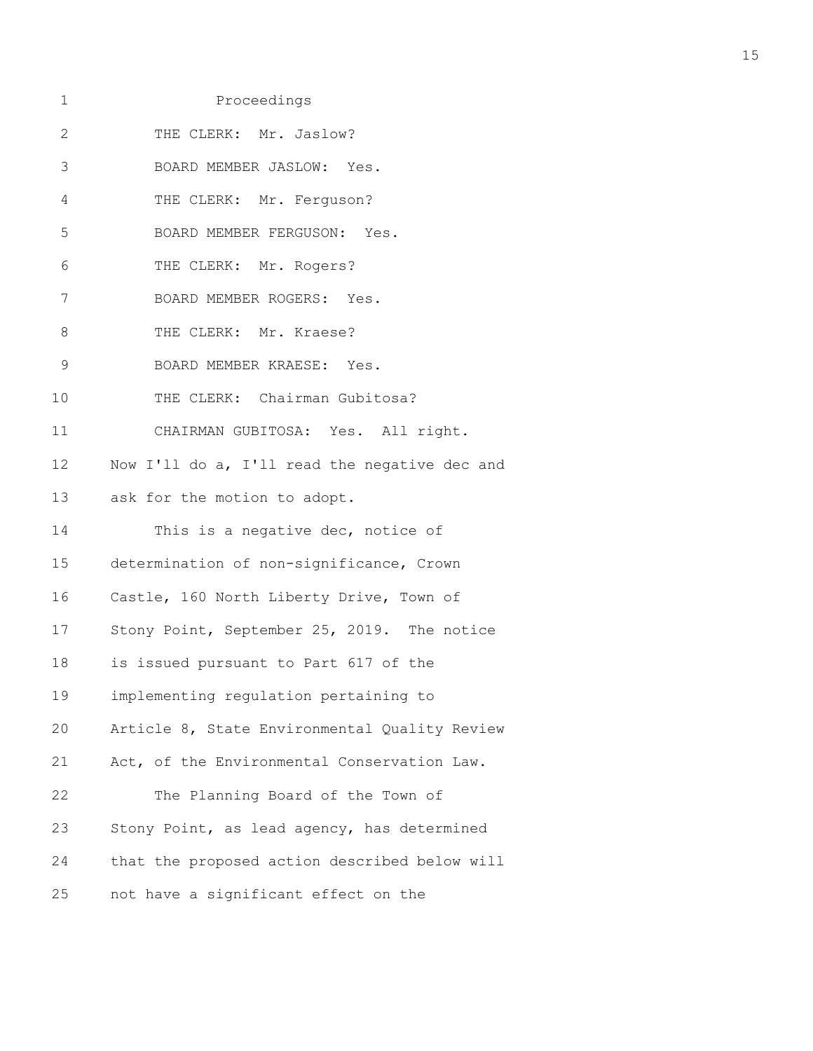| 1             | Proceedings                                   |
|---------------|-----------------------------------------------|
| $\mathbf{2}$  | THE CLERK: Mr. Jaslow?                        |
| 3             | BOARD MEMBER JASLOW: Yes.                     |
| 4             | THE CLERK: Mr. Ferguson?                      |
| 5             | BOARD MEMBER FERGUSON: Yes.                   |
| 6             | THE CLERK: Mr. Rogers?                        |
| 7             | BOARD MEMBER ROGERS: Yes.                     |
| $\,8\,$       | THE CLERK: Mr. Kraese?                        |
| $\mathcal{G}$ | BOARD MEMBER KRAESE: Yes.                     |
| 10            | THE CLERK: Chairman Gubitosa?                 |
| 11            | CHAIRMAN GUBITOSA: Yes. All right.            |
| 12            | Now I'll do a, I'll read the negative dec and |
|               | 13 ask for the motion to adopt.               |
| 14            | This is a negative dec, notice of             |
| 15            | determination of non-significance, Crown      |
| 16            | Castle, 160 North Liberty Drive, Town of      |
| 17            | Stony Point, September 25, 2019. The notice   |
| 18            | is issued pursuant to Part 617 of the         |
| 19            | implementing regulation pertaining to         |
| 20            | Article 8, State Environmental Quality Review |
| 21            | Act, of the Environmental Conservation Law.   |
| 22            | The Planning Board of the Town of             |
| 23            | Stony Point, as lead agency, has determined   |
| 24            | that the proposed action described below will |
| 25            | not have a significant effect on the          |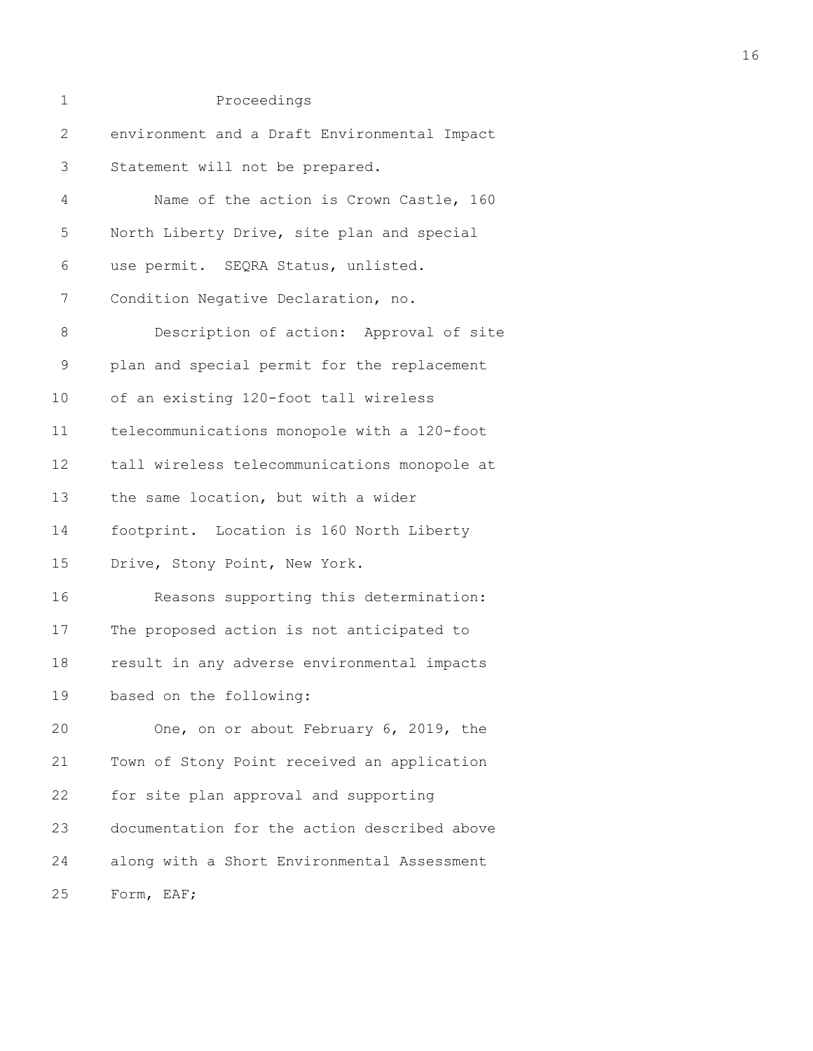| 1  | Proceedings                                  |
|----|----------------------------------------------|
| 2  | environment and a Draft Environmental Impact |
| 3  | Statement will not be prepared.              |
| 4  | Name of the action is Crown Castle, 160      |
| 5  | North Liberty Drive, site plan and special   |
| 6  | use permit. SEQRA Status, unlisted.          |
| 7  | Condition Negative Declaration, no.          |
| 8  | Description of action: Approval of site      |
| 9  | plan and special permit for the replacement  |
| 10 | of an existing 120-foot tall wireless        |
| 11 | telecommunications monopole with a 120-foot  |
| 12 | tall wireless telecommunications monopole at |
| 13 | the same location, but with a wider          |
| 14 | footprint. Location is 160 North Liberty     |
| 15 | Drive, Stony Point, New York.                |
| 16 | Reasons supporting this determination:       |
| 17 | The proposed action is not anticipated to    |
| 18 | result in any adverse environmental impacts  |
| 19 | based on the following:                      |
| 20 | One, on or about February 6, 2019, the       |
| 21 | Town of Stony Point received an application  |
| 22 | for site plan approval and supporting        |
| 23 | documentation for the action described above |
| 24 | along with a Short Environmental Assessment  |
| 25 | Form, EAF;                                   |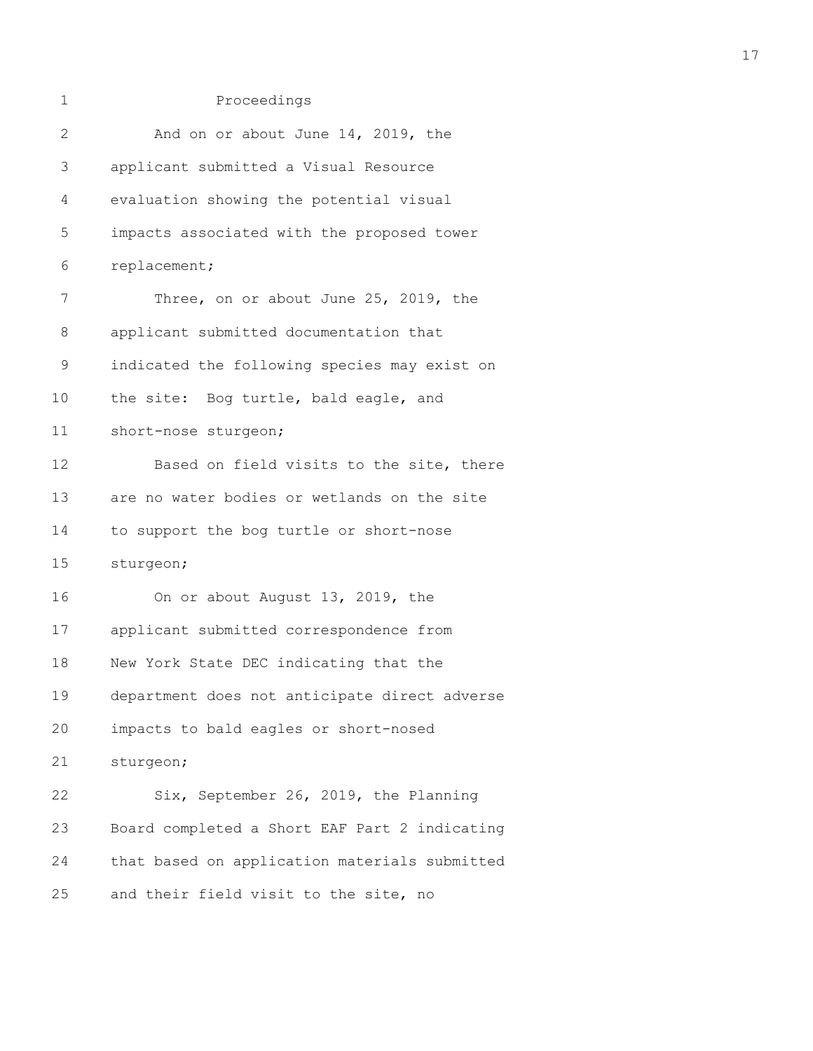| 1            | Proceedings                                   |
|--------------|-----------------------------------------------|
| $\mathbf{2}$ | And on or about June 14, 2019, the            |
| 3            | applicant submitted a Visual Resource         |
| 4            | evaluation showing the potential visual       |
| 5            | impacts associated with the proposed tower    |
| 6            | replacement;                                  |
| 7            | Three, on or about June 25, 2019, the         |
| 8            | applicant submitted documentation that        |
| 9            | indicated the following species may exist on  |
| 10           | the site: Bog turtle, bald eagle, and         |
| 11           | short-nose sturgeon;                          |
| 12           | Based on field visits to the site, there      |
| 13           | are no water bodies or wetlands on the site   |
| 14           | to support the bog turtle or short-nose       |
| 15           | sturgeon;                                     |
| 16           | On or about August 13, 2019, the              |
| 17           | applicant submitted correspondence from       |
| 18           | New York State DEC indicating that the        |
| 19           | department does not anticipate direct adverse |
| 20           | impacts to bald eagles or short-nosed         |
| 21           | sturgeon;                                     |
| 22           | Six, September 26, 2019, the Planning         |
| 23           | Board completed a Short EAF Part 2 indicating |
| 24           | that based on application materials submitted |
| 25           | and their field visit to the site, no         |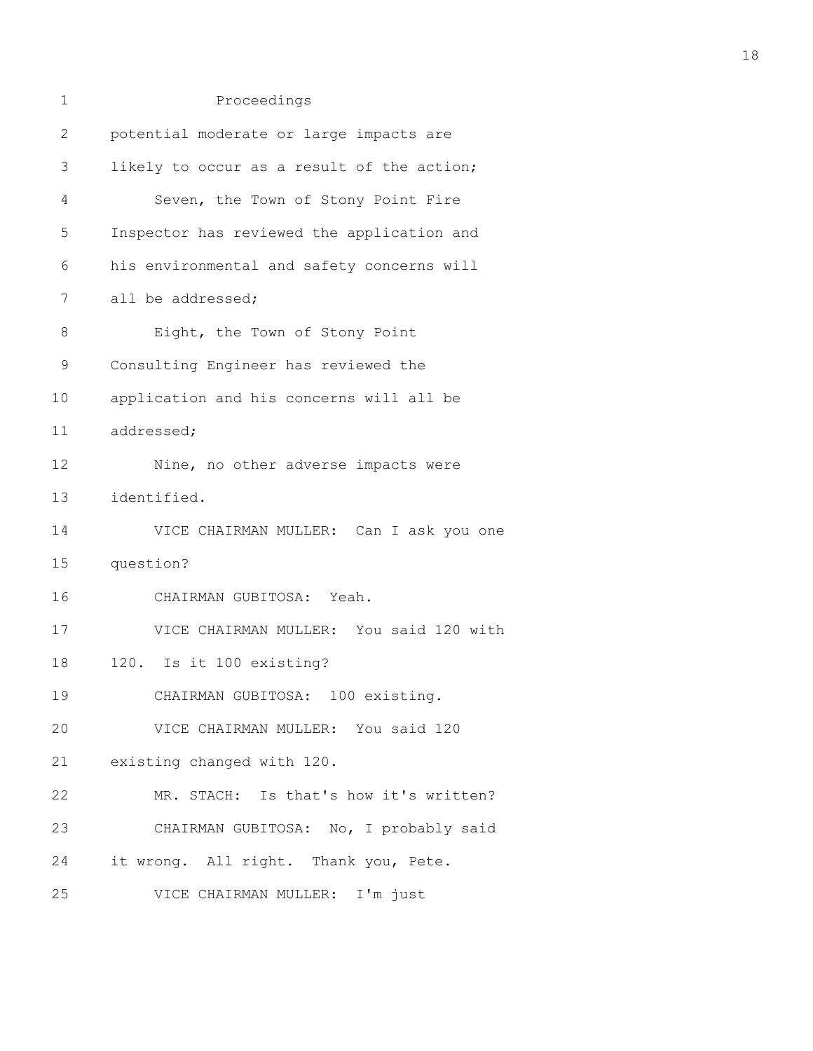| 1  | Proceedings                                |
|----|--------------------------------------------|
| 2  | potential moderate or large impacts are    |
| 3  | likely to occur as a result of the action; |
| 4  | Seven, the Town of Stony Point Fire        |
| 5  | Inspector has reviewed the application and |
| 6  | his environmental and safety concerns will |
| 7  | all be addressed;                          |
| 8  | Eight, the Town of Stony Point             |
| 9  | Consulting Engineer has reviewed the       |
| 10 | application and his concerns will all be   |
| 11 | addressed;                                 |
| 12 | Nine, no other adverse impacts were        |
| 13 | identified.                                |
| 14 | VICE CHAIRMAN MULLER: Can I ask you one    |
| 15 | question?                                  |
| 16 | CHAIRMAN GUBITOSA: Yeah.                   |
| 17 | VICE CHAIRMAN MULLER: You said 120 with    |
| 18 | 120. Is it 100 existing?                   |
| 19 | CHAIRMAN GUBITOSA: 100 existing.           |
| 20 | VICE CHAIRMAN MULLER: You said 120         |
| 21 | existing changed with 120.                 |
| 22 | MR. STACH: Is that's how it's written?     |
| 23 | CHAIRMAN GUBITOSA: No, I probably said     |
| 24 | it wrong. All right. Thank you, Pete.      |
| 25 | VICE CHAIRMAN MULLER: I'm just             |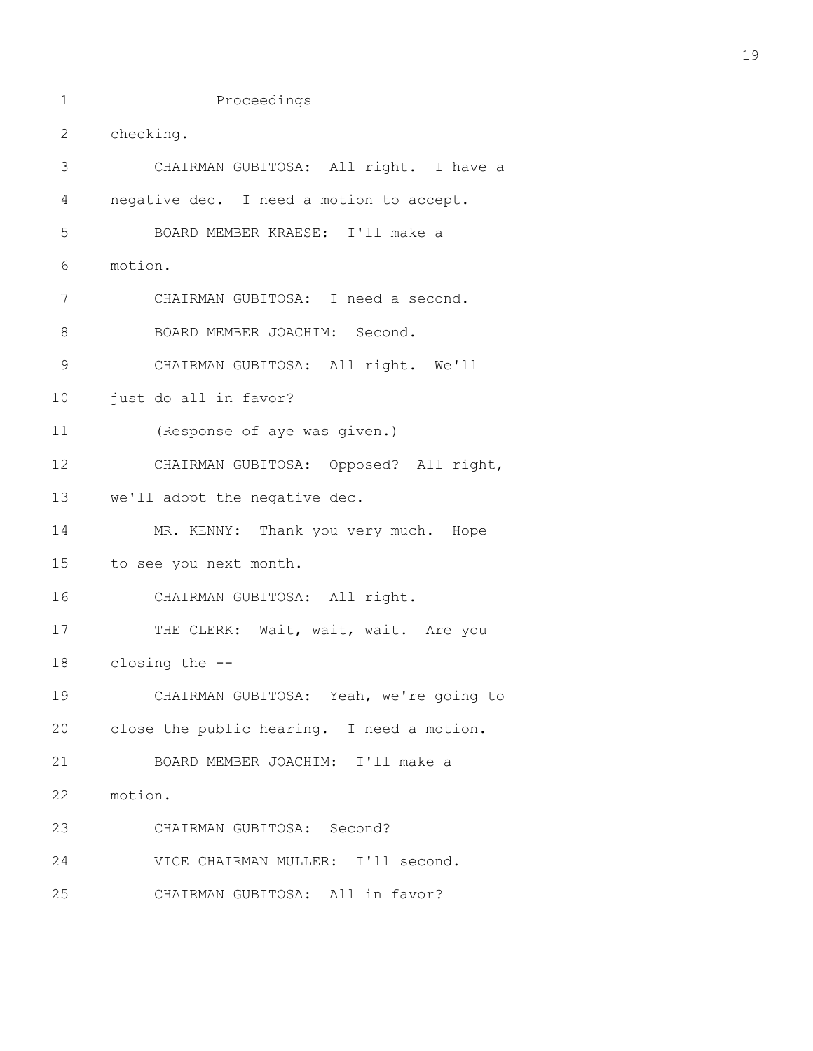2 checking. 3 CHAIRMAN GUBITOSA: All right. I have a 4 negative dec. I need a motion to accept. 5 BOARD MEMBER KRAESE: I'll make a 6 motion. 7 CHAIRMAN GUBITOSA: I need a second. 8 BOARD MEMBER JOACHIM: Second. 9 CHAIRMAN GUBITOSA: All right. We'll 10 just do all in favor? 11 (Response of aye was given.) 12 CHAIRMAN GUBITOSA: Opposed? All right, 13 we'll adopt the negative dec. 14 MR. KENNY: Thank you very much. Hope 15 to see you next month. 16 CHAIRMAN GUBITOSA: All right. 17 THE CLERK: Wait, wait, wait. Are you 18 closing the -- 19 CHAIRMAN GUBITOSA: Yeah, we're going to 20 close the public hearing. I need a motion. 21 BOARD MEMBER JOACHIM: I'll make a 22 motion. 23 CHAIRMAN GUBITOSA: Second? 24 VICE CHAIRMAN MULLER: I'll second. 25 CHAIRMAN GUBITOSA: All in favor?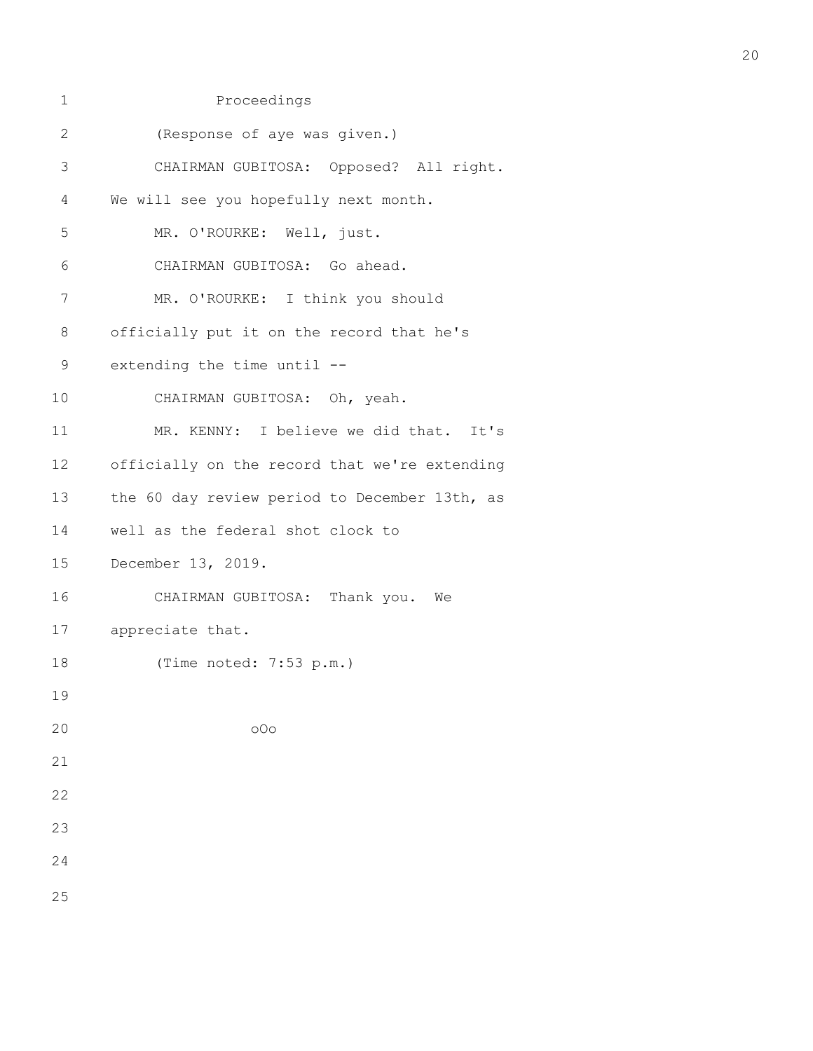| $\mathbf 1$  | Proceedings                                   |
|--------------|-----------------------------------------------|
| $\mathbf{2}$ | (Response of aye was given.)                  |
| 3            | CHAIRMAN GUBITOSA: Opposed? All right.        |
| 4            | We will see you hopefully next month.         |
| 5            | MR. O'ROURKE: Well, just.                     |
| 6            | CHAIRMAN GUBITOSA: Go ahead.                  |
| 7            | MR. O'ROURKE: I think you should              |
| 8            | officially put it on the record that he's     |
| 9            | extending the time until --                   |
| 10           | CHAIRMAN GUBITOSA: Oh, yeah.                  |
| 11           | MR. KENNY: I believe we did that. It's        |
| 12           | officially on the record that we're extending |
| 13           | the 60 day review period to December 13th, as |
| 14           | well as the federal shot clock to             |
| 15           | December 13, 2019.                            |
| 16           | CHAIRMAN GUBITOSA: Thank you. We              |
| 17           | appreciate that.                              |
| 18           | (Time noted: 7:53 p.m.)                       |
| 19           |                                               |
| 20           | 000                                           |
| 21           |                                               |
| 22           |                                               |
| 23           |                                               |
| 24           |                                               |
| 25           |                                               |